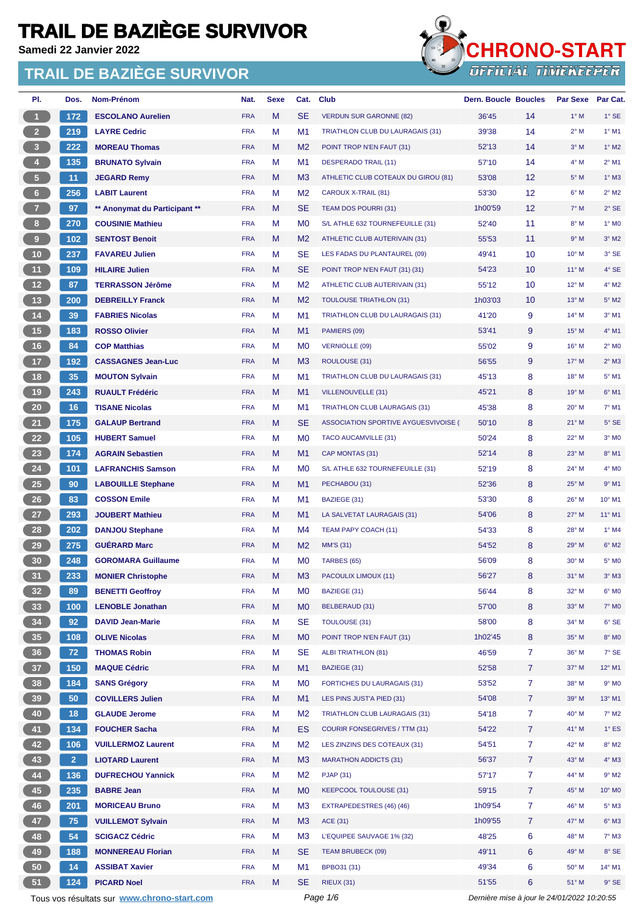**Samedi 22 Janvier 2022**



| PI.             | Dos.           | <b>Nom-Prénom</b>                           | Nat.       | <b>Sexe</b> | Cat.           | <b>Club</b>                          | <b>Dern. Boucle Boucles</b>                 |                   | <b>Par Sexe</b> | Par Cat.       |
|-----------------|----------------|---------------------------------------------|------------|-------------|----------------|--------------------------------------|---------------------------------------------|-------------------|-----------------|----------------|
| $\mathbf{1}$    | 172            | <b>ESCOLANO Aurelien</b>                    | <b>FRA</b> | M           | <b>SE</b>      | <b>VERDUN SUR GARONNE (82)</b>       | 36'45                                       | 14                | $1^\circ$ M     | $1°$ SE        |
| 2 <sup>2</sup>  | 219            | <b>LAYRE Cedric</b>                         | <b>FRA</b> | М           | M1             | TRIATHLON CLUB DU LAURAGAIS (31)     | 39'38                                       | 14                | $2^{\circ}$ M   | $1°$ M1        |
| 3               | 222            | <b>MOREAU Thomas</b>                        | <b>FRA</b> | M           | M <sub>2</sub> | POINT TROP N'EN FAUT (31)            | 52'13                                       | 14                | $3°$ M          | $1^\circ$ M2   |
| $\overline{4}$  | 135            | <b>BRUNATO Sylvain</b>                      | <b>FRA</b> | М           | M1             | <b>DESPERADO TRAIL (11)</b>          | 57'10                                       | 14                | $4^\circ$ M     | $2°$ M1        |
| $\sqrt{5}$      | 11             | <b>JEGARD Remy</b>                          | <b>FRA</b> | M           | M <sub>3</sub> | ATHLETIC CLUB COTEAUX DU GIROU (81)  | 53'08                                       | $12 \overline{ }$ | $5^\circ$ M     | $1^\circ$ M3   |
| $6 -$           | 256            | <b>LABIT Laurent</b>                        | <b>FRA</b> | М           | M <sub>2</sub> | CAROUX X-TRAIL (81)                  | 53'30                                       | 12                | $6^\circ$ M     | $2^{\circ}$ M2 |
| 7 <sup>7</sup>  | 97             | ** Anonymat du Participant **               | <b>FRA</b> | M           | <b>SE</b>      | TEAM DOS POURRI (31)                 | 1h00'59                                     | $12 \overline{ }$ | $7^\circ$ M     | $2°$ SE        |
| 8 <sup>2</sup>  | 270            | <b>COUSINIE Mathieu</b>                     | <b>FRA</b> | М           | M <sub>0</sub> | S/L ATHLE 632 TOURNEFEUILLE (31)     | 52'40                                       | 11                | $8^\circ$ M     | 1° MO          |
| 9 <sub>1</sub>  | 102            | <b>SENTOST Benoit</b>                       | <b>FRA</b> | M           | M <sub>2</sub> | ATHLETIC CLUB AUTERIVAIN (31)        | 55'53                                       | 11                | 9° M            | $3°$ M2        |
| 10 <sub>1</sub> | 237            | <b>FAVAREU Julien</b>                       | <b>FRA</b> | М           | <b>SE</b>      | LES FADAS DU PLANTAUREL (09)         | 49'41                                       | 10 <sup>°</sup>   | 10° M           | 3° SE          |
| 11              | 109            | <b>HILAIRE Julien</b>                       | <b>FRA</b> | M           | <b>SE</b>      | POINT TROP N'EN FAUT (31) (31)       | 54'23                                       | 10 <sup>°</sup>   | $11^{\circ}$ M  | $4^\circ$ SE   |
| 12              | 87             | <b>TERRASSON Jérôme</b>                     | <b>FRA</b> | М           | M <sub>2</sub> | ATHLETIC CLUB AUTERIVAIN (31)        | 55'12                                       | 10                | 12° M           | 4° M2          |
| 13              | 200            | <b>DEBREILLY Franck</b>                     | <b>FRA</b> | M           | M <sub>2</sub> | <b>TOULOUSE TRIATHLON (31)</b>       | 1h03'03                                     | 10                | $13^\circ$ M    | 5° M2          |
| $14$            | 39             | <b>FABRIES Nicolas</b>                      | <b>FRA</b> | М           | M1             | TRIATHLON CLUB DU LAURAGAIS (31)     | 41'20                                       | 9                 | 14° M           | $3°$ M1        |
| 15              | 183            | <b>ROSSO Olivier</b>                        | <b>FRA</b> | M           | M1             | PAMIERS (09)                         | 53'41                                       | 9                 | $15^{\circ}$ M  | $4^{\circ}$ M1 |
| 16              | 84             | <b>COP Matthias</b>                         | <b>FRA</b> | М           | M <sub>0</sub> | <b>VERNIOLLE (09)</b>                | 55'02                                       | 9                 | 16° M           | $2°$ MO        |
| 17 <sub>2</sub> | 192            | <b>CASSAGNES Jean-Luc</b>                   | <b>FRA</b> | M           | M <sub>3</sub> | ROULOUSE (31)                        | 56'55                                       | 9                 | 17° M           | $2°$ M3        |
| 18              | 35             | <b>MOUTON Sylvain</b>                       | <b>FRA</b> | М           | M1             | TRIATHLON CLUB DU LAURAGAIS (31)     | 45'13                                       | 8                 | 18° M           | 5° M1          |
| 19              | 243            | <b>RUAULT Frédéric</b>                      | <b>FRA</b> | M           | M1             | <b>VILLENOUVELLE (31)</b>            | 45'21                                       | 8                 | 19° M           | $6°$ M1        |
| 20 <sub>2</sub> | 16             | <b>TISANE Nicolas</b>                       | <b>FRA</b> | М           | M1             | TRIATHLON CLUB LAURAGAIS (31)        | 45'38                                       | 8                 | 20° M           | 7° M1          |
| 21              | 175            | <b>GALAUP Bertrand</b>                      | <b>FRA</b> | M           | <b>SE</b>      | ASSOCIATION SPORTIVE AYGUESVIVOISE ( | 50'10                                       | 8                 | $21°$ M         | $5^\circ$ SE   |
| 22              | 105            | <b>HUBERT Samuel</b>                        | <b>FRA</b> | М           | M <sub>0</sub> | TACO AUCAMVILLE (31)                 | 50'24                                       | 8                 | 22° M           | $3°$ MO        |
| 23              | 174            | <b>AGRAIN Sebastien</b>                     | <b>FRA</b> | M           | M <sub>1</sub> | CAP MONTAS (31)                      | 52'14                                       | 8                 | 23° M           | 8° M1          |
| 24              | 101            | <b>LAFRANCHIS Samson</b>                    | <b>FRA</b> | М           | M <sub>0</sub> | S/L ATHLE 632 TOURNEFEUILLE (31)     | 52'19                                       | 8                 | 24° M           | 4° MO          |
| 25              | 90             | <b>LABOUILLE Stephane</b>                   | <b>FRA</b> | M           | M1             | PECHABOU (31)                        | 52'36                                       | 8                 | 25° M           | $9°$ M1        |
| 26              | 83             | <b>COSSON Emile</b>                         | <b>FRA</b> | M           | M1             | BAZIEGE (31)                         | 53'30                                       | 8                 | 26° M           | 10° M1         |
| 27              | 293            | <b>JOUBERT Mathieu</b>                      | <b>FRA</b> | M           | M1             | LA SALVETAT LAURAGAIS (31)           | 54'06                                       | 8                 | $27^\circ$ M    | 11° M1         |
| 28              | 202            | <b>DANJOU Stephane</b>                      | <b>FRA</b> | M           | M4             | TEAM PAPY COACH (11)                 | 54'33                                       | 8                 | 28° M           | $1°$ M4        |
| 29              | 275            | <b>GUERARD Marc</b>                         | <b>FRA</b> | M           | M <sub>2</sub> | <b>MM'S (31)</b>                     | 54'52                                       | 8                 | 29° M           | $6°$ M2        |
| 30              | 248            | <b>GOROMARA Guillaume</b>                   | <b>FRA</b> | M           | M0             | TARBES (65)                          | 56'09                                       | 8                 | 30° M           | 5° MO          |
| 31 <sup>2</sup> | 233            | <b>MONIER Christophe</b>                    | <b>FRA</b> | м           | M <sub>3</sub> | PACOULIX LIMOUX (11)                 | 56'27                                       | 8                 | $31^\circ$ M    | $3°$ M $3$     |
| 32 <sub>2</sub> | 89             | <b>BENETTI Geoffroy</b>                     | <b>FRA</b> | M           | M <sub>0</sub> | BAZIEGE (31)                         | 56'44                                       | 8                 | 32° M           | 6° MO          |
| 33              | 100            | <b>LENOBLE Jonathan</b>                     | <b>FRA</b> | ${\sf M}$   | M <sub>0</sub> | BELBERAUD (31)                       | 57'00                                       | 8                 | 33° M           | 7° M0          |
| 34              | 92             | <b>DAVID Jean-Marie</b>                     | <b>FRA</b> | M           | <b>SE</b>      | TOULOUSE (31)                        | 58'00                                       | 8                 | 34° M           | 6° SE          |
| 35 <sub>5</sub> | 108            | <b>OLIVE Nicolas</b>                        | <b>FRA</b> | M           | M0             | POINT TROP N'EN FAUT (31)            | 1h02'45                                     | 8                 | 35° M           | 8° MO          |
| 36              | 72             | <b>THOMAS Robin</b>                         | <b>FRA</b> | М           | <b>SE</b>      | <b>ALBI TRIATHLON (81)</b>           | 46'59                                       | $\mathbf{7}$      | 36° M           | 7° SE          |
| 37              | 150            | <b>MAQUE Cédric</b>                         | <b>FRA</b> | M           | M1             | BAZIEGE (31)                         | 52'58                                       | $\overline{7}$    | 37° M           | 12° M1         |
| 38              | 184            | <b>SANS Grégory</b>                         | <b>FRA</b> | M           | M <sub>0</sub> | <b>FORTICHES DU LAURAGAIS (31)</b>   | 53'52                                       | $\mathbf{7}$      | 38° M           | $9°$ MO        |
| 39              | 50             | <b>COVILLERS Julien</b>                     | <b>FRA</b> | M           | M1             | LES PINS JUST'A PIED (31)            | 54'08                                       | $\mathbf{7}$      | 39° M           | 13° M1         |
| 40              | 18             | <b>GLAUDE Jerome</b>                        | <b>FRA</b> | M           | M <sub>2</sub> | TRIATHLON CLUB LAURAGAIS (31)        | 54'18                                       | $\overline{7}$    | 40° M           | $7^\circ$ M2   |
| 41              | 134            | <b>FOUCHER Sacha</b>                        | <b>FRA</b> | M           | ES             | COURIR FONSEGRIVES / TTM (31)        | 54'22                                       | $\mathbf{7}$      | 41° M           | $1^\circ$ ES   |
| 42              | 106            | <b>VUILLERMOZ Laurent</b>                   | <b>FRA</b> | M           | M2             | LES ZINZINS DES COTEAUX (31)         | 54'51                                       | $\overline{7}$    | 42° M           | $8^\circ$ M2   |
| 43              | 2 <sup>7</sup> | <b>LIOTARD Laurent</b>                      | <b>FRA</b> | M           | M <sub>3</sub> | <b>MARATHON ADDICTS (31)</b>         | 56'37                                       | $\overline{7}$    | 43° M           | 4° M3          |
| 44              | 136            | <b>DUFRECHOU Yannick</b>                    | <b>FRA</b> | M           | M2             | <b>PJAP (31)</b>                     | 57'17                                       | $\mathbf{7}$      | 44° M           | 9° M2          |
| 45              | 235            | <b>BABRE Jean</b>                           | <b>FRA</b> | M           | M <sub>0</sub> | <b>KEEPCOOL TOULOUSE (31)</b>        | 59'15                                       | $\overline{7}$    | 45° M           | 10° M0         |
| 46              | 201            | <b>MORICEAU Bruno</b>                       | <b>FRA</b> | M           | M3             | EXTRAPEDESTRES (46) (46)             | 1h09'54                                     | $\mathbf{7}$      | 46° M           | $5^\circ$ M3   |
| 47              | 75             | <b>VUILLEMOT Sylvain</b>                    | <b>FRA</b> | M           | M <sub>3</sub> | ACE (31)                             | 1h09'55                                     | $\mathbf{7}$      | 47° M           | $6°$ M3        |
| 48              | 54             | <b>SCIGACZ Cédric</b>                       | <b>FRA</b> | M           | M3             | L'EQUIPEE SAUVAGE 1% (32)            | 48'25                                       | 6                 | 48° M           | $7°$ M3        |
| 49              | 188            | <b>MONNEREAU Florian</b>                    | <b>FRA</b> | M           | <b>SE</b>      | TEAM BRUBECK (09)                    | 49'11                                       | 6                 | 49° M           | 8° SE          |
| 50              | 14             | <b>ASSIBAT Xavier</b>                       | <b>FRA</b> | M           | M1             | BPBO31 (31)                          | 49'34                                       | 6                 | 50° M           | 14° M1         |
| 51              | 124            | <b>PICARD Noel</b>                          | <b>FRA</b> | M           | <b>SE</b>      | <b>RIEUX (31)</b>                    | 51'55                                       | 6                 | 51° M           | $9°$ SE        |
|                 |                | Tous vos résultats sur www.chrono-start.com |            |             |                | Page 1/6                             | Dernière mise à jour le 24/01/2022 10:20:55 |                   |                 |                |
|                 |                |                                             |            |             |                |                                      |                                             |                   |                 |                |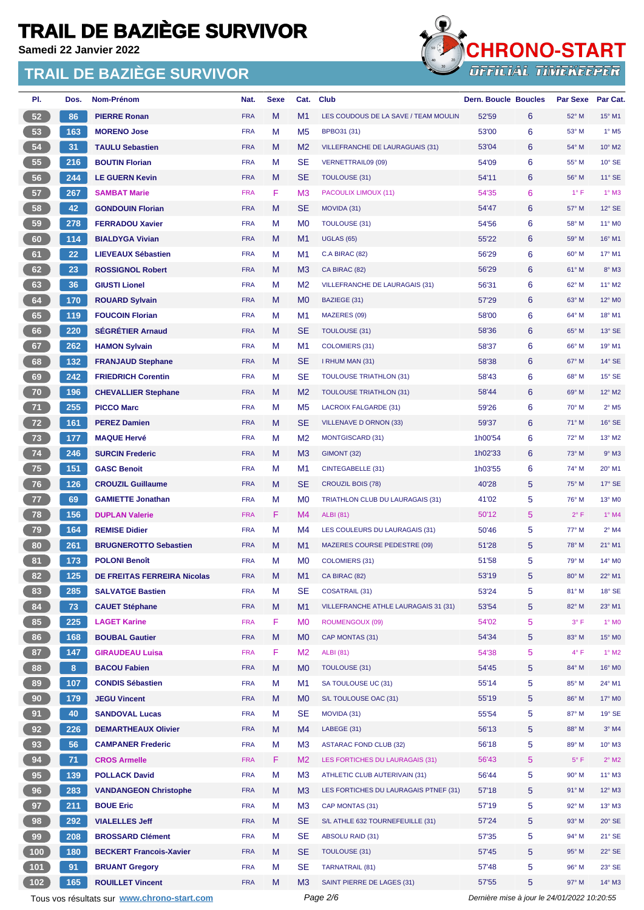**Samedi 22 Janvier 2022**

### **TRAIL DE BAZIÈGE SURVIVOR**



| PI. | Dos.  | Nom-Prénom                         | Nat.       | Sexe | Cat.           | Club                                        | <b>Dern. Boucle Boucles</b> |   | <b>Par Sexe</b> | Par Cat.                   |
|-----|-------|------------------------------------|------------|------|----------------|---------------------------------------------|-----------------------------|---|-----------------|----------------------------|
| 52  | 86    | <b>PIERRE Ronan</b>                | <b>FRA</b> | M    | M <sub>1</sub> | LES COUDOUS DE LA SAVE / TEAM MOULIN        | 52'59                       | 6 | 52° M           | 15° M1                     |
| 53  | 163   | <b>MORENO Jose</b>                 | <b>FRA</b> | M    | M <sub>5</sub> | BPBO31 (31)                                 | 53'00                       | 6 | 53° M           | $1°$ M <sub>5</sub>        |
| 54  | 31    | <b>TAULU Sebastien</b>             | <b>FRA</b> | M    | M <sub>2</sub> | <b>VILLEFRANCHE DE LAURAGUAIS (31)</b>      | 53'04                       | 6 | 54° M           | 10° M2                     |
| 55  | 216   | <b>BOUTIN Florian</b>              | <b>FRA</b> | M    | <b>SE</b>      | <b>VERNETTRAIL09 (09)</b>                   | 54'09                       | 6 | 55° M           | $10^{\circ}$ SE            |
| 56  | 244   | <b>LE GUERN Kevin</b>              | <b>FRA</b> | M    | <b>SE</b>      | <b>TOULOUSE (31)</b>                        | 54'11                       | 6 | 56° M           | $11^{\circ}$ SE            |
| 57  | 267   | <b>SAMBAT Marie</b>                | <b>FRA</b> | F    | M <sub>3</sub> | PACOULIX LIMOUX (11)                        | 54'35                       | 6 | $1^{\circ}$ F   | $1^\circ$ M3               |
| 58  | 42    | <b>GONDOUIN Florian</b>            | <b>FRA</b> | M    | SE             | MOVIDA (31)                                 | 54'47                       | 6 | 57° M           | $12^\circ$ SE              |
| 59  | 278   | <b>FERRADOU Xavier</b>             | <b>FRA</b> | M    | M <sub>0</sub> | <b>TOULOUSE (31)</b>                        | 54'56                       | 6 | 58° M           | 11° M0                     |
| 60  | 114   | <b>BIALDYGA Vivian</b>             | <b>FRA</b> | M    | M <sub>1</sub> | <b>UGLAS (65)</b>                           | 55'22                       | 6 | 59° M           | 16° M1                     |
| 61  | 22    | <b>LIEVEAUX Sébastien</b>          | <b>FRA</b> | М    | M1             | <b>C.A BIRAC (82)</b>                       | 56'29                       | 6 | 60° M           | 17° M1                     |
| 62  | 23    | <b>ROSSIGNOL Robert</b>            | <b>FRA</b> | M    | M <sub>3</sub> | CA BIRAC (82)                               | 56'29                       | 6 | 61° M           | 8° M3                      |
| 63  | 36    | <b>GIUSTI Lionel</b>               | <b>FRA</b> | M    | M <sub>2</sub> | <b>VILLEFRANCHE DE LAURAGAIS (31)</b>       | 56'31                       | 6 | 62° M           | 11° M2                     |
| 64  | 170   | <b>ROUARD Sylvain</b>              | <b>FRA</b> | M    | M <sub>0</sub> | BAZIEGE (31)                                | 57'29                       | 6 | $63^\circ$ M    | 12° M0                     |
| 65  | 119   | <b>FOUCOIN Florian</b>             | <b>FRA</b> | M    | M1             | MAZERES (09)                                | 58'00                       | 6 | 64° M           | 18° M1                     |
| 66  | 220   | <b>SEGRÉTIER Arnaud</b>            | <b>FRA</b> | M    | SE             | TOULOUSE (31)                               | 58'36                       | 6 | 65° M           | 13° SE                     |
| 67  | 262   | <b>HAMON Sylvain</b>               | <b>FRA</b> | М    | M1             | <b>COLOMIERS (31)</b>                       | 58'37                       | 6 | 66° M           | 19° M1                     |
| 68  | 132   | <b>FRANJAUD Stephane</b>           | <b>FRA</b> | M    | <b>SE</b>      | I RHUM MAN (31)                             | 58'38                       | 6 | 67° M           | $14^{\circ}$ SE            |
| 69  | 242   | <b>FRIEDRICH Corentin</b>          | <b>FRA</b> | М    | SE             | <b>TOULOUSE TRIATHLON (31)</b>              | 58'43                       | 6 | 68° M           | 15° SE                     |
| 70  | 196   | <b>CHEVALLIER Stephane</b>         | <b>FRA</b> | M    | M <sub>2</sub> | <b>TOULOUSE TRIATHLON (31)</b>              | 58'44                       | 6 | 69° M           | 12° M2                     |
| 71  | 255   | <b>PICCO Marc</b>                  | <b>FRA</b> | M    | M <sub>5</sub> | LACROIX FALGARDE (31)                       | 59'26                       | 6 | 70° M           | $2^{\circ}$ M <sub>5</sub> |
| 72  | 161   | <b>PEREZ Damien</b>                | <b>FRA</b> | M    | <b>SE</b>      | <b>VILLENAVE D ORNON (33)</b>               | 59'37                       | 6 | 71° M           | 16° SE                     |
| 73  | 177   | <b>MAQUE Hervé</b>                 | <b>FRA</b> | M    | M <sub>2</sub> | <b>MONTGISCARD (31)</b>                     | 1h00'54                     | 6 | 72° M           | 13° M2                     |
| 74  | 246   | <b>SURCIN Frederic</b>             | <b>FRA</b> | M    | M <sub>3</sub> | GIMONT (32)                                 | 1h02'33                     | 6 | 73° M           | $9°$ M3                    |
| 75  | 151   | <b>GASC Benoit</b>                 | <b>FRA</b> | M    | M1             | CINTEGABELLE (31)                           | 1h03'55                     | 6 | 74° M           | 20° M1                     |
| 76  | 126   | <b>CROUZIL Guillaume</b>           | <b>FRA</b> | M    | SE             | <b>CROUZIL BOIS (78)</b>                    | 40'28                       | 5 | 75° M           | $17^\circ$ SE              |
| 77  | 69    | <b>GAMIETTE Jonathan</b>           | <b>FRA</b> | M    | M <sub>0</sub> | TRIATHLON CLUB DU LAURAGAIS (31)            | 41'02                       | 5 | 76° M           | 13° M0                     |
| 78  | 156   | <b>DUPLAN Valerie</b>              | <b>FRA</b> | F    | M4             | <b>ALBI</b> (81)                            | 50'12                       | 5 | $2^{\circ}$ F   | $1°$ M4                    |
| 79  | 164   | <b>REMISE Didier</b>               | <b>FRA</b> | М    | M4             | LES COULEURS DU LAURAGAIS (31)              | 50'46                       | 5 | 77° M           | $2°$ M4                    |
| 80  | 261   | <b>BRUGNEROTTO Sebastien</b>       | <b>FRA</b> | M    | M1             | MAZERES COURSE PEDESTRE (09)                | 51'28                       | 5 | 78° M           | $21^{\circ}$ M1            |
| 81  | 173   | <b>POLONI Benoît</b>               | <b>FRA</b> | M    | M <sub>0</sub> | <b>COLOMIERS (31)</b>                       | 51'58                       | 5 | 79° M           | 14° M0                     |
| 82) | $125$ | <b>DE FREITAS FERREIRA Nicolas</b> | <b>FRA</b> | M    | M1             | CA BIRAC (82)                               | 53'19                       | 5 | 80° M           | 22° M1                     |
| 83  | 285   | <b>SALVATGE Bastien</b>            | <b>FRA</b> | M    | SE             | <b>COSATRAIL (31)</b>                       | 53'24                       | 5 | 81° M           | $18°$ SE                   |
| 84  | 73    | <b>CAUET Stéphane</b>              | <b>FRA</b> | M    | M <sub>1</sub> | <b>VILLEFRANCHE ATHLE LAURAGAIS 31 (31)</b> | 53'54                       | 5 | 82° M           | 23° M1                     |
| 85  | 225   | <b>LAGET Karine</b>                | <b>FRA</b> | F    | M <sub>0</sub> | ROUMENGOUX (09)                             | 54'02                       | 5 | 3° F            | 1° M <sub>0</sub>          |
| 86  | 168   | <b>BOUBAL Gautier</b>              | <b>FRA</b> | M    | M <sub>0</sub> | CAP MONTAS (31)                             | 54'34                       | 5 | 83° M           | 15° M0                     |
| 87  | 147   | <b>GIRAUDEAU Luisa</b>             | <b>FRA</b> | F    | M <sub>2</sub> | <b>ALBI</b> (81)                            | 54'38                       | 5 | $4^{\circ}$ F   | $1°$ M2                    |
| 88  | 8     | <b>BACOU Fabien</b>                | <b>FRA</b> | M    | M <sub>0</sub> | <b>TOULOUSE (31)</b>                        | 54'45                       | 5 | 84° M           | 16° M0                     |
| 89  | 107   | <b>CONDIS Sébastien</b>            | <b>FRA</b> | M    | M1             | SA TOULOUSE UC (31)                         | 55'14                       | 5 | 85° M           | 24° M1                     |
| 90  | 179   | <b>JEGU Vincent</b>                | <b>FRA</b> | M    | M <sub>0</sub> | S/L TOULOUSE OAC (31)                       | 55'19                       | 5 | 86° M           | 17° M0                     |
| 91  | 40    | <b>SANDOVAL Lucas</b>              | <b>FRA</b> | М    | SE             | MOVIDA (31)                                 | 55'54                       | 5 | 87° M           | 19° SE                     |
| 92  | 226   | <b>DEMARTHEAUX Olivier</b>         | <b>FRA</b> | M    | M4             | LABEGE (31)                                 | 56'13                       | 5 | 88° M           | $3°$ M4                    |
| 93  | 56    | <b>CAMPANER Frederic</b>           | <b>FRA</b> | M    | M <sub>3</sub> | <b>ASTARAC FOND CLUB (32)</b>               | 56'18                       | 5 | 89° M           | 10° M3                     |
| 94  | 71    | <b>CROS Armelle</b>                | <b>FRA</b> | F    | M <sub>2</sub> | LES FORTICHES DU LAURAGAIS (31)             | 56'43                       | 5 | $5^{\circ}$ F   | $2^{\circ}$ M2             |
| 95  | 139   | <b>POLLACK David</b>               | <b>FRA</b> | M    | M <sub>3</sub> | ATHLETIC CLUB AUTERIVAIN (31)               | 56'44                       | 5 | 90° M           | 11° M3                     |
| 96  | 283   | <b>VANDANGEON Christophe</b>       | <b>FRA</b> | M    | M <sub>3</sub> | LES FORTICHES DU LAURAGAIS PTNEF (31)       | 57'18                       | 5 | 91° M           | 12° M3                     |
| 97  | 211   | <b>BOUE Eric</b>                   | <b>FRA</b> | М    | M <sub>3</sub> | CAP MONTAS (31)                             | 57'19                       | 5 | 92° M           | 13° M3                     |
| 98  | 292   | <b>VIALELLES Jeff</b>              | <b>FRA</b> | M    | <b>SE</b>      | S/L ATHLE 632 TOURNEFEUILLE (31)            | 57'24                       | 5 | 93° M           | $20^\circ$ SE              |
| 99  | 208   | <b>BROSSARD Clément</b>            | <b>FRA</b> | М    | <b>SE</b>      | ABSOLU RAID (31)                            | 57'35                       | 5 | 94° M           | 21° SE                     |
| 100 | 180   | <b>BECKERT Francois-Xavier</b>     | <b>FRA</b> | M    | <b>SE</b>      | <b>TOULOUSE (31)</b>                        | 57'45                       | 5 | 95° M           | 22° SE                     |
| 101 | 91    | <b>BRUANT Gregory</b>              | <b>FRA</b> | M    | <b>SE</b>      | <b>TARNATRAIL (81)</b>                      | 57'48                       | 5 | 96° M           | 23° SE                     |
| 102 | 165   | <b>ROUILLET Vincent</b>            | <b>FRA</b> | M    | M <sub>3</sub> | SAINT PIERRE DE LAGES (31)                  | 57'55                       | 5 | 97° M           | 14° M3                     |

Tous vos résultats sur **[www.chrono-start.com](https://www.chrono-start.com/)** Page 2/6 Page 2/6 Dernière mise à jour le 24/01/2022 10:20:55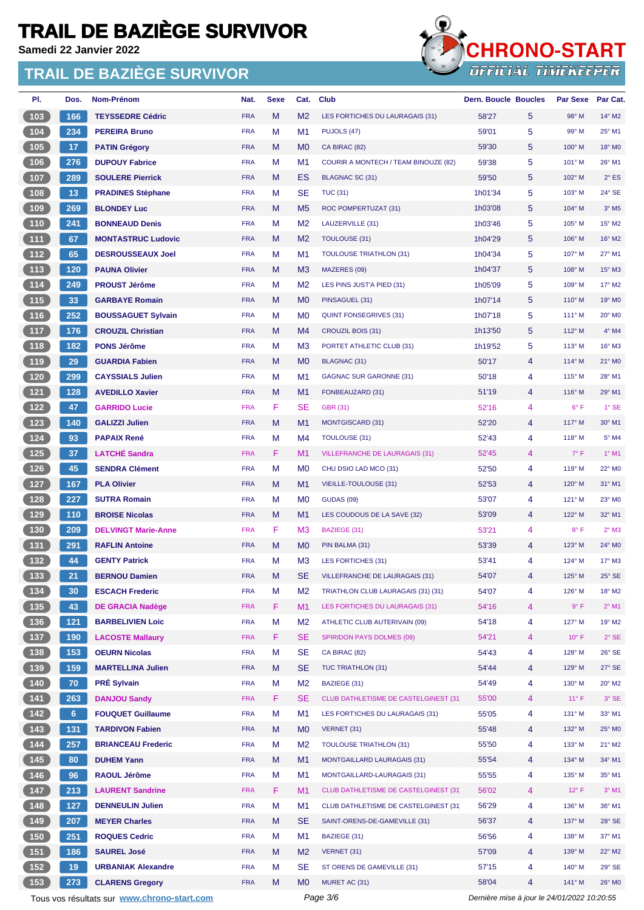**Samedi 22 Janvier 2022**



| PI.              | Dos.            | <b>Nom-Prénom</b>                           | Nat.       | <b>Sexe</b> | Cat.           | <b>Club</b>                                 | <b>Dern. Boucle Boucles</b>                          | <b>Par Sexe</b> | Par Cat.            |
|------------------|-----------------|---------------------------------------------|------------|-------------|----------------|---------------------------------------------|------------------------------------------------------|-----------------|---------------------|
| 103              | 166             | <b>TEYSSEDRE Cédric</b>                     | <b>FRA</b> | M           | M <sub>2</sub> | LES FORTICHES DU LAURAGAIS (31)             | 58'27<br>5                                           | 98° M           | 14° M2              |
| 104              | 234             | <b>PEREIRA Bruno</b>                        | <b>FRA</b> | M           | M1             | PUJOLS (47)                                 | 5<br>59'01                                           | 99° M           | 25° M1              |
| 105              | 17              | <b>PATIN Grégory</b>                        | <b>FRA</b> | M           | M <sub>0</sub> | CA BIRAC (82)                               | 59'30<br>5                                           | 100° M          | 18° M0              |
| 106              | 276             | <b>DUPOUY Fabrice</b>                       | <b>FRA</b> | M           | M1             | <b>COURIR A MONTECH / TEAM BINOUZE (82)</b> | 5<br>59'38                                           | 101° M          | 26° M1              |
| $107$            | 289             | <b>SOULERE Pierrick</b>                     | <b>FRA</b> | M           | ES             | BLAGNAC SC (31)                             | 5<br>59'50                                           | 102° M          | $2^{\circ}$ ES      |
| 108              | 13              | <b>PRADINES Stéphane</b>                    | <b>FRA</b> | M           | SE             | <b>TUC (31)</b>                             | 5<br>1h01'34                                         | 103° M          | 24° SE              |
| 109              | 269             | <b>BLONDEY Luc</b>                          | <b>FRA</b> | M           | M <sub>5</sub> | ROC POMPERTUZAT (31)                        | 5<br>1h03'08                                         | 104° M          | $3°$ M <sub>5</sub> |
| $110$            | 241             | <b>BONNEAUD Denis</b>                       | <b>FRA</b> | M           | M <sub>2</sub> | LAUZERVILLE (31)                            | 5<br>1h03'46                                         | 105° M          | 15° M2              |
| $\overline{111}$ | 67              | <b>MONTASTRUC Ludovic</b>                   | <b>FRA</b> | M           | M <sub>2</sub> | <b>TOULOUSE (31)</b>                        | 5<br>1h04'29                                         | 106° M          | 16° M2              |
| $112$            | 65              | <b>DESROUSSEAUX Joel</b>                    | <b>FRA</b> | M           | M1             | <b>TOULOUSE TRIATHLON (31)</b>              | 5<br>1h04'34                                         | 107° M          | 27° M1              |
| 113              | 120             | <b>PAUNA Olivier</b>                        | <b>FRA</b> | M           | M <sub>3</sub> | MAZERES (09)                                | 5<br>1h04'37                                         | 108° M          | $15^{\circ}$ M3     |
| $114$            | 249             | <b>PROUST Jérôme</b>                        | <b>FRA</b> | M           | M <sub>2</sub> | LES PINS JUST'A PIED (31)                   | 5<br>1h05'09                                         | 109° M          | 17° M2              |
| 115              | 33              | <b>GARBAYE Romain</b>                       | <b>FRA</b> | M           | M <sub>0</sub> | PINSAGUEL (31)                              | 1h07'14<br>5                                         | $110^\circ$ M   | 19° M <sub>0</sub>  |
| $116$            | 252             | <b>BOUSSAGUET Sylvain</b>                   | <b>FRA</b> | M           | M <sub>0</sub> | <b>QUINT FONSEGRIVES (31)</b>               | 5<br>1h07'18                                         | 111° M          | 20° M <sub>0</sub>  |
| $117$            | 176             | <b>CROUZIL Christian</b>                    | <b>FRA</b> | M           | M4             | CROUZIL BOIS (31)                           | 1h13'50<br>5                                         | 112° M          | $4^{\circ}$ M4      |
| 118              | 182             | <b>PONS Jérôme</b>                          | <b>FRA</b> | M           | M <sub>3</sub> | PORTET ATHLETIC CLUB (31)                   | 5<br>1h19'52                                         | $113^\circ$ M   | $16^\circ$ M3       |
| 119              | 29              | <b>GUARDIA Fabien</b>                       | <b>FRA</b> | M           | M <sub>0</sub> | <b>BLAGNAC (31)</b>                         | 50'17<br>4                                           | 114° M          | 21° M0              |
| 120              | 299             | <b>CAYSSIALS Julien</b>                     | <b>FRA</b> | M           | M1             | <b>GAGNAC SUR GARONNE (31)</b>              | 50'18<br>4                                           | $115^\circ$ M   | 28° M1              |
| $121$            | 128             | <b>AVEDILLO Xavier</b>                      | <b>FRA</b> | M           | M <sub>1</sub> | FONBEAUZARD (31)                            | 51'19<br>4                                           | 116° M          | 29° M1              |
| 122              | 47              | <b>GARRIDO Lucie</b>                        | <b>FRA</b> | F           | <b>SE</b>      | <b>GBR (31)</b>                             | 4<br>52'16                                           | 6° F            | $1^\circ$ SE        |
| 123              | 140             | <b>GALIZZI Julien</b>                       | <b>FRA</b> | M           | M <sub>1</sub> | <b>MONTGISCARD (31)</b>                     | 52'20<br>4                                           | 117° M          | 30° M1              |
| $124$            | 93              | <b>PAPAIX René</b>                          | <b>FRA</b> | M           | M <sub>4</sub> | <b>TOULOUSE (31)</b>                        | 52'43<br>4                                           | 118° M          | 5° M4               |
| $125$            | 37              | <b>LATCHÉ Sandra</b>                        | <b>FRA</b> | F           | M1             | <b>VILLEFRANCHE DE LAURAGAIS (31)</b>       | 52'45<br>4                                           | $7^\circ$ F     | $1^{\circ}$ M1      |
| 126              | 45              | <b>SENDRA Clément</b>                       | <b>FRA</b> | M           | M <sub>0</sub> | CHU DSIO LAD MCO (31)                       | 52'50<br>4                                           | 119° M          | 22° M0              |
| 127              | 167             | <b>PLA Olivier</b>                          | <b>FRA</b> | M           | M <sub>1</sub> | <b>VIEILLE-TOULOUSE (31)</b>                | 52'53<br>4                                           | 120° M          | 31° M1              |
| 128              | 227             | <b>SUTRA Romain</b>                         | <b>FRA</b> | M           | M <sub>0</sub> | <b>GUDAS (09)</b>                           | 4<br>53'07                                           | 121° M          | 23° M0              |
| $129$            | 110             | <b>BROISE Nicolas</b>                       | <b>FRA</b> | M           | M <sub>1</sub> | LES COUDOUS DE LA SAVE (32)                 | 4<br>53'09                                           | 122° M          | 32° M1              |
| 130              | 209             | <b>DELVINGT Marie-Anne</b>                  | <b>FRA</b> | F           | M <sub>3</sub> | BAZIEGE (31)                                | 53'21<br>4                                           | $8^{\circ}$ F   | $2°$ M3             |
| 131              | 291             | <b>RAFLIN Antoine</b>                       | <b>FRA</b> | M           | M <sub>0</sub> | PIN BALMA (31)                              | 53'39<br>4                                           | $123^\circ$ M   | 24° M0              |
| 132              | 44              | <b>GENTY Patrick</b>                        | <b>FRA</b> | M           | M <sub>3</sub> | LES FORTICHES (31)                          | 53'41<br>4                                           | 124° M          | 17° M3              |
| (133)            | 21              | <b>BERNOU Damien</b>                        | <b>FRA</b> | M           | SE             | <b>VILLEFRANCHE DE LAURAGAIS (31)</b>       | 54'07<br>4                                           | 125° M          | $25^\circ$ SE       |
| 134              | 30 <sub>1</sub> | <b>ESCACH Frederic</b>                      | <b>FRA</b> | M           | M <sub>2</sub> | TRIATHLON CLUB LAURAGAIS (31) (31)          | 54'07<br>4                                           | 126° M          | 18° M2              |
| 135              | 43              | <b>DE GRACIA Nadège</b>                     | <b>FRA</b> | F           | M1             | LES FORTICHES DU LAURAGAIS (31)             | 54'16<br>4                                           | 9° F            | $2^{\circ}$ M1      |
| $136$            | $121$           | <b>BARBELIVIEN Loic</b>                     | <b>FRA</b> | M           | M <sub>2</sub> | ATHLETIC CLUB AUTERIVAIN (09)               | 54'18<br>4                                           | 127° M          | 19° M2              |
| $137$            | 190             | <b>LACOSTE Mallaury</b>                     | <b>FRA</b> | F           | <b>SE</b>      | <b>SPIRIDON PAYS DOLMES (09)</b>            | 4<br>54'21                                           | $10^{\circ}$ F  | $2°$ SE             |
| 138              | 153             | <b>OEURN Nicolas</b>                        | <b>FRA</b> | M           | SE.            | CA BIRAC (82)                               | 54'43<br>4                                           | 128° M          | 26° SE              |
| $139$            | 159             | <b>MARTELLINA Julien</b>                    | <b>FRA</b> | M           | <b>SE</b>      | TUC TRIATHLON (31)                          | 54'44<br>4                                           | 129° M          | $27^\circ$ SE       |
| 140              | 70              | <b>PRÉ Sylvain</b>                          | <b>FRA</b> | M           | M <sub>2</sub> | BAZIEGE (31)                                | 54'49<br>4                                           | $130^\circ$ M   | 20° M2              |
| 141              | 263             | <b>DANJOU Sandy</b>                         | <b>FRA</b> | F           | SE             | <b>CLUB DATHLETISME DE CASTELGINEST (31</b> | 55'00<br>4                                           | $11^{\circ}$ F  | 3° SE               |
| 142              | 6 <sup>1</sup>  | <b>FOUQUET Guillaume</b>                    | <b>FRA</b> | M           | M1             | LES FORT'ICHES DU LAURAGAIS (31)            | 4<br>55'05                                           | 131° M          | 33° M1              |
| 143              | 131             | <b>TARDIVON Fabien</b>                      | <b>FRA</b> | M           | M0             | VERNET (31)                                 | 55'48<br>4                                           | 132° M          | 25° M0              |
| 144              | 257             | <b>BRIANCEAU Frederic</b>                   | <b>FRA</b> | M           | M <sub>2</sub> | <b>TOULOUSE TRIATHLON (31)</b>              | 55'50<br>4                                           | 133° M          | $21^{\circ}$ M2     |
| 145              | 80              | <b>DUHEM Yann</b>                           | <b>FRA</b> | M           | M1             | <b>MONTGAILLARD LAURAGAIS (31)</b>          | 55'54<br>4                                           | 134° M          | 34° M1              |
| 146              | 96              | <b>RAOUL Jérôme</b>                         | <b>FRA</b> | M           | M1             | MONTGAILLARD-LAURAGAIS (31)                 | 55'55<br>4                                           | 135° M          | 35° M1              |
| 147              | 213             | <b>LAURENT Sandrine</b>                     | <b>FRA</b> | F           | M1             | CLUB DATHLETISME DE CASTELGINEST (31        | 56'02<br>4                                           | $12^{\circ}$ F  | $3°$ M1             |
| 148              | 127             | <b>DENNEULIN Julien</b>                     | <b>FRA</b> | M           | M1             | CLUB DATHLETISME DE CASTELGINEST (31)       | 4<br>56'29                                           | 136° M          | 36° M1              |
| 149              | 207             | <b>MEYER Charles</b>                        | <b>FRA</b> | M           | <b>SE</b>      | SAINT-ORENS-DE-GAMEVILLE (31)               | 56'37<br>4                                           | 137° M          | $28^\circ$ SE       |
| 150              | 251             | <b>ROQUES Cedric</b>                        | <b>FRA</b> | M           | M1             | BAZIEGE (31)                                | 56'56<br>4                                           | 138° M          | 37° M1              |
| 151              | 186             | <b>SAUREL José</b>                          |            | M           | M <sub>2</sub> | VERNET (31)                                 | 57'09<br>4                                           | 139° M          | 22° M2              |
|                  |                 |                                             | <b>FRA</b> |             |                |                                             | 4                                                    |                 |                     |
| 152              | 19              | <b>URBANIAK Alexandre</b>                   | <b>FRA</b> | M<br>M      | SE             | ST ORENS DE GAMEVILLE (31)                  | 57'15<br>4                                           | 140° M          | 29° SE              |
| 153              | 273             | <b>CLARENS Gregory</b>                      | <b>FRA</b> |             | M0             | MURET AC (31)<br>Page 3/6                   | 58'04<br>Dernière mise à jour le 24/01/2022 10:20:55 | 141° M          | 26° M0              |
|                  |                 | Tous vos résultats sur www.chrono-start.com |            |             |                |                                             |                                                      |                 |                     |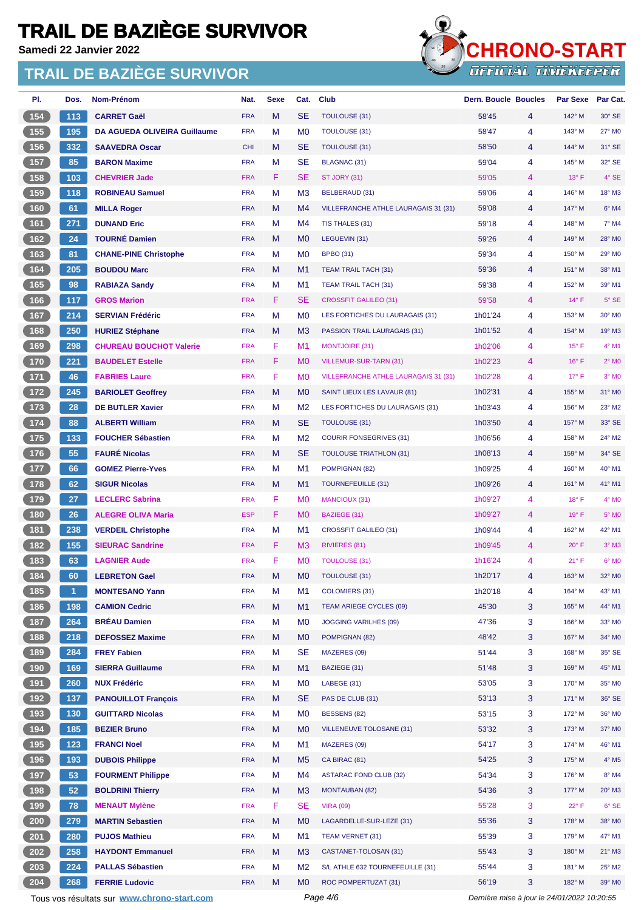**Samedi 22 Janvier 2022**



| _________________________ |
|---------------------------|
| UPPILIAL IIMENEEPER       |
|                           |

| PI.                                            | Dos. | <b>Nom-Prénom</b>                           | Nat.       | <b>Sexe</b> | Cat.           | <b>Club</b>                                 | <b>Dern. Boucle Boucles</b>                 |   | <b>Par Sexe</b> | Par Cat.                   |
|------------------------------------------------|------|---------------------------------------------|------------|-------------|----------------|---------------------------------------------|---------------------------------------------|---|-----------------|----------------------------|
| 154                                            | 113  | <b>CARRET Gaël</b>                          | <b>FRA</b> | M           | <b>SE</b>      | <b>TOULOUSE (31)</b>                        | 58'45                                       | 4 | 142° M          | 30° SE                     |
| 155                                            | 195  | <b>DA AGUEDA OLIVEIRA Guillaume</b>         | <b>FRA</b> | M           | M <sub>0</sub> | <b>TOULOUSE (31)</b>                        | 58'47                                       | 4 | 143° M          | 27° M0                     |
| (156)                                          | 332  | <b>SAAVEDRA Oscar</b>                       | <b>CHI</b> | M           | <b>SE</b>      | <b>TOULOUSE (31)</b>                        | 58'50                                       | 4 | 144° M          | 31° SE                     |
| 157                                            | 85   | <b>BARON Maxime</b>                         | <b>FRA</b> | M           | SE             | BLAGNAC (31)                                | 59'04                                       | 4 | 145° M          | 32° SE                     |
| $\boxed{158}$                                  | 103  | <b>CHEVRIER Jade</b>                        | <b>FRA</b> | F           | <b>SE</b>      | ST JORY (31)                                | 59'05                                       | 4 | $13^\circ$ F    | 4° SE                      |
| $159$                                          | 118  | <b>ROBINEAU Samuel</b>                      | <b>FRA</b> | M           | M3             | BELBERAUD (31)                              | 59'06                                       | 4 | 146° M          | 18° M3                     |
| (160)                                          | 61   | <b>MILLA Roger</b>                          | <b>FRA</b> | M           | M4             | VILLEFRANCHE ATHLE LAURAGAIS 31 (31)        | 59'08                                       | 4 | 147° M          | $6°$ M4                    |
| 161                                            | 271  | <b>DUNAND Eric</b>                          | <b>FRA</b> | M           | M4             | TIS THALES (31)                             | 59'18                                       | 4 | 148° M          | 7° M4                      |
| 162                                            | 24   | <b>TOURNÉ Damien</b>                        | <b>FRA</b> | M           | M <sub>0</sub> | LEGUEVIN (31)                               | 59'26                                       | 4 | 149° M          | 28° M0                     |
| $\boxed{163}$                                  | 81   | <b>CHANE-PINE Christophe</b>                | <b>FRA</b> | M           | M <sub>0</sub> | <b>BPBO (31)</b>                            | 59'34                                       | 4 | 150° M          | 29° M0                     |
| (164)                                          | 205  | <b>BOUDOU Marc</b>                          | <b>FRA</b> | M           | M1             | <b>TEAM TRAIL TACH (31)</b>                 | 59'36                                       | 4 | 151° M          | 38° M1                     |
| 165                                            | 98   | <b>RABIAZA Sandy</b>                        | <b>FRA</b> | M           | M1             | <b>TEAM TRAIL TACH (31)</b>                 | 59'38                                       | 4 | 152° M          | 39° M1                     |
| (166)                                          | 117  | <b>GROS Marion</b>                          | <b>FRA</b> | F           | <b>SE</b>      | <b>CROSSFIT GALILEO (31)</b>                | 59'58                                       | 4 | 14°F            | $5^\circ$ SE               |
| 167                                            | 214  | <b>SERVIAN Frédéric</b>                     | <b>FRA</b> | M           | M0             | LES FORTICHES DU LAURAGAIS (31)             | 1h01'24                                     | 4 | 153° M          | 30° M0                     |
| $\overline{168}$                               | 250  | <b>HURIEZ Stéphane</b>                      | <b>FRA</b> | M           | M <sub>3</sub> | PASSION TRAIL LAURAGAIS (31)                | 1h01'52                                     | 4 | 154° M          | 19° M3                     |
| 169                                            | 298  | <b>CHUREAU BOUCHOT Valerie</b>              | <b>FRA</b> | F           | M1             | <b>MONTJOIRE (31)</b>                       | 1h02'06                                     | 4 | $15^\circ$ F    | 4° M1                      |
| (170)                                          | 221  | <b>BAUDELET Estelle</b>                     | <b>FRA</b> | F           | M <sub>0</sub> | VILLEMUR-SUR-TARN (31)                      | 1h02'23                                     | 4 | $16^{\circ}$ F  | $2°$ MO                    |
| 171                                            | 46   | <b>FABRIES Laure</b>                        | <b>FRA</b> | F           | M <sub>0</sub> | <b>VILLEFRANCHE ATHLE LAURAGAIS 31 (31)</b> | 1h02'28                                     | 4 | $17^\circ$ F    | $3°$ MO                    |
| $\boxed{172}$                                  | 245  | <b>BARIOLET Geoffrey</b>                    | <b>FRA</b> | M           | M <sub>0</sub> | SAINT LIEUX LES LAVAUR (81)                 | 1h02'31                                     | 4 | 155° M          | 31° M0                     |
| $\boxed{173}$                                  | 28   | <b>DE BUTLER Xavier</b>                     | <b>FRA</b> | M           | M <sub>2</sub> | LES FORTICHES DU LAURAGAIS (31)             | 1h03'43                                     | 4 | 156° M          | 23° M2                     |
| 174                                            | 88   | <b>ALBERTI William</b>                      | <b>FRA</b> | M           | <b>SE</b>      | TOULOUSE (31)                               | 1h03'50                                     | 4 | $157^\circ$ M   | 33° SE                     |
| $175$                                          | 133  | <b>FOUCHER Sébastien</b>                    | <b>FRA</b> | M           | M <sub>2</sub> | <b>COURIR FONSEGRIVES (31)</b>              | 1h06'56                                     | 4 | 158° M          | 24° M2                     |
| (176)                                          | 55   | <b>FAURÉ Nicolas</b>                        | <b>FRA</b> | M           | <b>SE</b>      | <b>TOULOUSE TRIATHLON (31)</b>              | 1h08'13                                     | 4 | 159° M          | 34° SE                     |
| $177$                                          | 66   | <b>GOMEZ Pierre-Yves</b>                    | <b>FRA</b> | M           | M1             | POMPIGNAN (82)                              | 1h09'25                                     | 4 | 160° M          | 40° M1                     |
| (178)                                          | 62   | <b>SIGUR Nicolas</b>                        | <b>FRA</b> | M           | M1             | <b>TOURNEFEUILLE (31)</b>                   | 1h09'26                                     | 4 | 161° M          | 41° M1                     |
| 179                                            | 27   | <b>LECLERC Sabrina</b>                      | <b>FRA</b> | F           | M <sub>0</sub> | <b>MANCIOUX (31)</b>                        | 1h09'27                                     | 4 | 18°F            | 4° MO                      |
| $\boxed{180}$                                  | 26   | <b>ALEGRE OLIVA Maria</b>                   | <b>ESP</b> | F           | M <sub>0</sub> | BAZIEGE (31)                                | 1h09'27                                     | 4 | 19° F           | 5° M <sub>0</sub>          |
| $\begin{array}{c} 181 \\ \end{array}$          | 238  | <b>VERDEIL Christophe</b>                   | <b>FRA</b> | M           | M1             | <b>CROSSFIT GALILEO (31)</b>                | 1h09'44                                     | 4 | 162° M          | 42° M1                     |
| (182)                                          | 155  | <b>SIEURAC Sandrine</b>                     | <b>FRA</b> | F           | M <sub>3</sub> | RIVIERES (81)                               | 1h09'45                                     | 4 | 20°F            | $3°$ M3                    |
| 183                                            | 63   | <b>LAGNIER Aude</b>                         | <b>FRA</b> | F           | M <sub>0</sub> | <b>TOULOUSE (31)</b>                        | 1h16'24                                     | 4 | 21° F           | 6° MO                      |
| 184                                            | 60   | <b>LEBRETON Gael</b>                        | <b>FRA</b> | M           | M0             | <b>TOULOUSE (31)</b>                        | 1h20'17                                     | 4 | 163° M          | 32° M0                     |
| $185$                                          | 1    | <b>MONTESANO Yann</b>                       | <b>FRA</b> | M           | M1             | <b>COLOMIERS (31)</b>                       | 1h20'18                                     | 4 | 164° M          | 43° M1                     |
| 186                                            | 198  | <b>CAMION Cedric</b>                        | <b>FRA</b> | M           | M1             | <b>TEAM ARIEGE CYCLES (09)</b>              | 45'30                                       | 3 | 165° M          | 44° M1                     |
| 187                                            | 264  | <b>BRÉAU Damien</b>                         | <b>FRA</b> | M           | M <sub>0</sub> | <b>JOGGING VARILHES (09)</b>                | 47'36                                       | 3 | 166° M          | 33° M0                     |
| 188                                            | 218  | <b>DEFOSSEZ Maxime</b>                      | <b>FRA</b> | M           | M <sub>0</sub> | POMPIGNAN (82)                              | 48'42                                       | 3 | 167° M          | 34° M0                     |
|                                                | 284  | <b>FREY Fabien</b>                          | <b>FRA</b> | М           | SE             | MAZERES (09)                                | 51'44                                       | 3 | 168° M          | 35° SE                     |
| $\begin{array}{c} \n \text{189}\n \end{array}$ |      |                                             |            |             |                | BAZIEGE (31)                                |                                             |   |                 |                            |
| 190                                            | 169  | <b>SIERRA Guillaume</b>                     | <b>FRA</b> | M           | M <sub>1</sub> |                                             | 51'48                                       | 3 | 169° M          | 45° M1                     |
| (191)                                          | 260  | <b>NUX Frédéric</b>                         | <b>FRA</b> | M           | M <sub>0</sub> | LABEGE (31)                                 | 53'05                                       | 3 | 170° M          | 35° M0                     |
| (192)                                          | 137  | <b>PANOUILLOT François</b>                  | <b>FRA</b> | M           | <b>SE</b>      | PAS DE CLUB (31)                            | 53'13                                       | 3 | 171° M          | 36° SE                     |
| $193$                                          | 130  | <b>GUITTARD Nicolas</b>                     | <b>FRA</b> | M           | M <sub>0</sub> | BESSENS (82)                                | 53'15                                       | 3 | 172° M          | 36° M0                     |
| 194                                            | 185  | <b>BEZIER Bruno</b>                         | <b>FRA</b> | M           | M <sub>0</sub> | <b>VILLENEUVE TOLOSANE (31)</b>             | 53'32                                       | 3 | $173^\circ$ M   | 37° M0                     |
| $195$                                          | 123  | <b>FRANCI Noel</b>                          | <b>FRA</b> | M           | M1             | MAZERES (09)                                | 54'17                                       | 3 | 174° M          | 46° M1                     |
| (196)                                          | 193  | <b>DUBOIS Philippe</b>                      | <b>FRA</b> | M           | M <sub>5</sub> | CA BIRAC (81)                               | 54'25                                       | 3 | $175^\circ$ M   | $4^{\circ}$ M <sub>5</sub> |
| 197                                            | 53   | <b>FOURMENT Philippe</b>                    | <b>FRA</b> | M           | M4             | <b>ASTARAC FOND CLUB (32)</b>               | 54'34                                       | 3 | 176° M          | 8° M4                      |
| 198                                            | 52   | <b>BOLDRINI Thierry</b>                     | <b>FRA</b> | M           | M <sub>3</sub> | <b>MONTAUBAN (82)</b>                       | 54'36                                       | 3 | 177° M          | 20° M3                     |
| 199                                            | 78   | <b>MENAUT Mylène</b>                        | <b>FRA</b> | F           | SE             | <b>VIRA (09)</b>                            | 55'28                                       | 3 | 22°F            | 6° SE                      |
| 200                                            | 279  | <b>MARTIN Sebastien</b>                     | <b>FRA</b> | M           | M <sub>0</sub> | LAGARDELLE-SUR-LEZE (31)                    | 55'36                                       | 3 | 178° M          | 38° M0                     |
| 201                                            | 280  | <b>PUJOS Mathieu</b>                        | <b>FRA</b> | M           | M1             | TEAM VERNET (31)                            | 55'39                                       | 3 | 179° M          | 47° M1                     |
| 202                                            | 258  | <b>HAYDONT Emmanuel</b>                     | <b>FRA</b> | M           | M <sub>3</sub> | CASTANET-TOLOSAN (31)                       | 55'43                                       | 3 | 180° M          | $21°$ M3                   |
| 203                                            | 224  | <b>PALLAS Sébastien</b>                     | <b>FRA</b> | M           | M <sub>2</sub> | S/L ATHLE 632 TOURNEFEUILLE (31)            | 55'44                                       | 3 | 181° M          | 25° M2                     |
| 204                                            | 268  | <b>FERRIE Ludovic</b>                       | <b>FRA</b> | M           | M <sub>0</sub> | ROC POMPERTUZAT (31)                        | 56'19                                       | 3 | 182° M          | 39° M0                     |
|                                                |      | Tous vos résultats sur www.chrono-start.com |            |             |                | Page 4/6                                    | Dernière mise à jour le 24/01/2022 10:20:55 |   |                 |                            |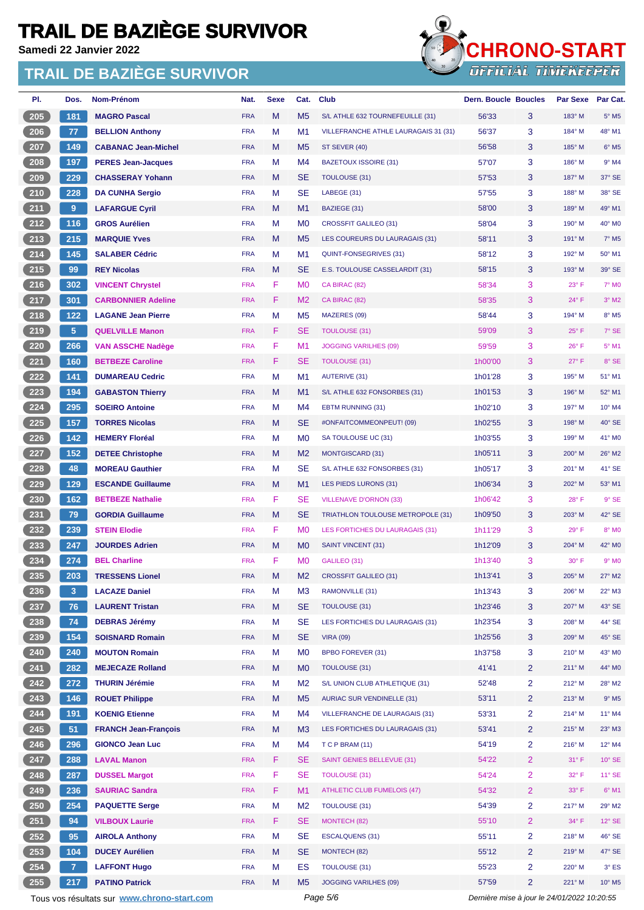**Samedi 22 Janvier 2022**



| PI.  | Dos.           | <b>Nom-Prénom</b>                           | Nat.       | <b>Sexe</b> | Cat.           | <b>Club</b>                           | <b>Dern. Boucle Boucles</b>                 |                | <b>Par Sexe</b> | Par Cat.                 |
|------|----------------|---------------------------------------------|------------|-------------|----------------|---------------------------------------|---------------------------------------------|----------------|-----------------|--------------------------|
| 205  | 181            | <b>MAGRO Pascal</b>                         | <b>FRA</b> | M           | M <sub>5</sub> | S/L ATHLE 632 TOURNEFEUILLE (31)      | 56'33                                       | 3              | 183° M          | $5^{\circ}$ M5           |
| 206  | 77             | <b>BELLION Anthony</b>                      | <b>FRA</b> | M           | M <sub>1</sub> | VILLEFRANCHE ATHLE LAURAGAIS 31 (31)  | 56'37                                       | 3              | 184° M          | 48° M1                   |
| 207  | 149            | <b>CABANAC Jean-Michel</b>                  | <b>FRA</b> | M           | M <sub>5</sub> | ST SEVER (40)                         | 56'58                                       | 3              | 185° M          | $6^{\circ}$ M5           |
| 208  | 197            | <b>PERES Jean-Jacques</b>                   | <b>FRA</b> | M           | M4             | <b>BAZETOUX ISSOIRE (31)</b>          | 57'07                                       | 3              | 186° M          | $9°$ M4                  |
| 209  | 229            | <b>CHASSERAY Yohann</b>                     | <b>FRA</b> | М           | <b>SE</b>      | <b>TOULOUSE (31)</b>                  | 57'53                                       | 3              | 187° M          | 37° SE                   |
| 210  | 228            | <b>DA CUNHA Sergio</b>                      | <b>FRA</b> | M           | <b>SE</b>      | LABEGE (31)                           | 57'55                                       | 3              | 188° M          | 38° SE                   |
| 211  | 9              | <b>LAFARGUE Cyril</b>                       | <b>FRA</b> | M           | M1             | BAZIEGE (31)                          | 58'00                                       | 3              | 189° M          | 49° M1                   |
| 212  | 116            | <b>GROS Aurélien</b>                        | <b>FRA</b> | M           | M <sub>0</sub> | <b>CROSSFIT GALILEO (31)</b>          | 58'04                                       | 3              | 190° M          | 40° M <sub>0</sub>       |
| 213  | 215            | <b>MARQUIE Yves</b>                         | <b>FRA</b> | M           | M <sub>5</sub> | LES COUREURS DU LAURAGAIS (31)        | 58'11                                       | 3              | 191° M          | $7^\circ$ M <sub>5</sub> |
| 214  | 145            | <b>SALABER Cédric</b>                       | <b>FRA</b> | M           | M1             | QUINT-FONSEGRIVES (31)                | 58'12                                       | 3              | 192° M          | 50° M1                   |
| 215  | 99             | <b>REY Nicolas</b>                          | <b>FRA</b> | M           | <b>SE</b>      | E.S. TOULOUSE CASSELARDIT (31)        | 58'15                                       | 3              | 193° M          | 39° SE                   |
| 216  | 302            | <b>VINCENT Chrystel</b>                     | <b>FRA</b> | F           | M <sub>0</sub> | CA BIRAC (82)                         | 58'34                                       | 3              | 23°F            | 7° M0                    |
| 217  | 301            | <b>CARBONNIER Adeline</b>                   | <b>FRA</b> | F           | M <sub>2</sub> | CA BIRAC (82)                         | 58'35                                       | 3              | 24°F            | $3°$ M2                  |
| 218  | 122            | <b>LAGANE Jean Pierre</b>                   | <b>FRA</b> | M           | M <sub>5</sub> | MAZERES (09)                          | 58'44                                       | 3              | 194° M          | $8^\circ$ M5             |
| 219  | 5 <sup>1</sup> | <b>QUELVILLE Manon</b>                      | <b>FRA</b> | F           | <b>SE</b>      | <b>TOULOUSE (31)</b>                  | 59'09                                       | 3              | $25^{\circ}$ F  | 7° SE                    |
| 220  | 266            | <b>VAN ASSCHE Nadège</b>                    | <b>FRA</b> | F           | M <sub>1</sub> | <b>JOGGING VARILHES (09)</b>          | 59'59                                       | 3              | $26^{\circ}$ F  | $5^{\circ}$ M1           |
| 221  | 160            | <b>BETBEZE Caroline</b>                     | <b>FRA</b> | F           | <b>SE</b>      | <b>TOULOUSE (31)</b>                  | 1h00'00                                     | 3              | $27^{\circ}$ F  | 8° SE                    |
| 222  | 141            | <b>DUMAREAU Cedric</b>                      | <b>FRA</b> | M           | M1             | <b>AUTERIVE (31)</b>                  | 1h01'28                                     | 3              | 195° M          | 51° M1                   |
| 223  | 194            | <b>GABASTON Thierry</b>                     | <b>FRA</b> | M           | M <sub>1</sub> | S/L ATHLE 632 FONSORBES (31)          | 1h01'53                                     | 3              | 196° M          | 52° M1                   |
| 224  | 295            | <b>SOEIRO Antoine</b>                       | <b>FRA</b> | M           | M4             | <b>EBTM RUNNING (31)</b>              | 1h02'10                                     | 3              | 197° M          | 10° M4                   |
| 225  | 157            | <b>TORRES Nicolas</b>                       | <b>FRA</b> | M           | <b>SE</b>      | #ONFAITCOMMEONPEUT! (09)              | 1h02'55                                     | 3              | 198° M          | 40° SE                   |
| 226  | 142            | <b>HEMERY Floréal</b>                       | <b>FRA</b> | M           | M <sub>0</sub> | SA TOULOUSE UC (31)                   | 1h03'55                                     | 3              | 199° M          | 41° M0                   |
| 227  | 152            | <b>DETEE Christophe</b>                     | <b>FRA</b> | M           | M <sub>2</sub> | <b>MONTGISCARD (31)</b>               | 1h05'11                                     | 3              | 200° M          | 26° M2                   |
| 228  | 48             | <b>MOREAU Gauthier</b>                      | <b>FRA</b> | M           | <b>SE</b>      | S/L ATHLE 632 FONSORBES (31)          | 1h05'17                                     | 3              | 201° M          | 41° SE                   |
| 229  | 129            | <b>ESCANDE Guillaume</b>                    | <b>FRA</b> | M           | M <sub>1</sub> | LES PIEDS LURONS (31)                 | 1h06'34                                     | 3              | $202^\circ$ M   | 53° M1                   |
| 230  | 162            | <b>BETBEZE Nathalie</b>                     | <b>FRA</b> | F           | SE             | <b>VILLENAVE D'ORNON (33)</b>         | 1h06'42                                     | 3              | 28°F            | $9°$ SE                  |
| 231  | 79             | <b>GORDIA Guillaume</b>                     | <b>FRA</b> | M           | <b>SE</b>      | TRIATHLON TOULOUSE METROPOLE (31)     | 1h09'50                                     | 3              | 203° M          | 42° SE                   |
| 232  | 239            | <b>STEIN Elodie</b>                         | <b>FRA</b> | F           | M <sub>0</sub> | LES FORTICHES DU LAURAGAIS (31)       | 1h11'29                                     | 3              | 29°F            | 8° MO                    |
| 233  | 247            | <b>JOURDES Adrien</b>                       | <b>FRA</b> | M           | M <sub>0</sub> | <b>SAINT VINCENT (31)</b>             | 1h12'09                                     | 3              | 204° M          | 42° M0                   |
| 234  | 274            | <b>BEL Charline</b>                         | <b>FRA</b> | F           | M <sub>0</sub> | GALILEO (31)                          | 1h13'40                                     | 3              | $30^\circ$ F    | $9°$ MO                  |
| 235) | 203            | <b>TRESSENS Lionel</b>                      | <b>FRA</b> | M           | M <sub>2</sub> | <b>CROSSFIT GALILEO (31)</b>          | 1h13'41                                     | 3              | $205^\circ$ M   | 27° M2                   |
|      |                |                                             |            |             |                |                                       |                                             |                | 206° M          |                          |
| 236  | 3              | <b>LACAZE Daniel</b>                        | <b>FRA</b> | M           | M3             | RAMONVILLE (31)                       | 1h13'43                                     | 3              |                 | 22° M3                   |
| 237  | 76             | <b>LAURENT Tristan</b>                      | <b>FRA</b> | M           | <b>SE</b>      | <b>TOULOUSE (31)</b>                  | 1h23'46                                     | 3              | 207° M          | 43° SE                   |
| 238  | 74             | <b>DEBRAS Jérémy</b>                        | <b>FRA</b> | M           | SE             | LES FORTICHES DU LAURAGAIS (31)       | 1h23'54                                     | 3              | 208° M          | 44° SE                   |
| 239  | 154            | <b>SOISNARD Romain</b>                      | <b>FRA</b> | M           | <b>SE</b>      | <b>VIRA (09)</b>                      | 1h25'56                                     | 3              | 209° M          | 45° SE                   |
| 240  | 240            | <b>MOUTON Romain</b>                        | <b>FRA</b> | M           | M <sub>0</sub> | <b>BPBO FOREVER (31)</b>              | 1h37'58                                     | 3              | $210^{\circ}$ M | 43° MO                   |
| 241  | 282            | <b>MEJECAZE Rolland</b>                     | <b>FRA</b> | M           | M <sub>0</sub> | <b>TOULOUSE (31)</b>                  | 41'41                                       | $\overline{2}$ | 211° M          | 44° M0                   |
| 242  | 272            | <b>THURIN Jérémie</b>                       | <b>FRA</b> | M           | M <sub>2</sub> | S/L UNION CLUB ATHLETIQUE (31)        | 52'48                                       | 2              | $212^{\circ}$ M | 28° M2                   |
| 243  | 146            | <b>ROUET Philippe</b>                       | <b>FRA</b> | M           | M <sub>5</sub> | <b>AURIAC SUR VENDINELLE (31)</b>     | 53'11                                       | $\overline{2}$ | $213^\circ$ M   | $9°$ M <sub>5</sub>      |
| 244  | 191            | <b>KOENIG Etienne</b>                       | <b>FRA</b> | M           | M4             | <b>VILLEFRANCHE DE LAURAGAIS (31)</b> | 53'31                                       | 2              | 214° M          | 11° M4                   |
| 245  | 51             | <b>FRANCH Jean-François</b>                 | <b>FRA</b> | M           | M <sub>3</sub> | LES FORTICHES DU LAURAGAIS (31)       | 53'41                                       | 2              | $215^\circ$ M   | 23° M3                   |
| 246  | 296            | <b>GIONCO Jean Luc</b>                      | <b>FRA</b> | M           | M4             | T C P BRAM (11)                       | 54'19                                       | 2              | 216° M          | 12° M4                   |
| 247  | 288            | <b>LAVAL Manon</b>                          | <b>FRA</b> | F           | <b>SE</b>      | <b>SAINT GENIES BELLEVUE (31)</b>     | 54'22                                       | $\overline{2}$ | $31^\circ$ F    | 10° SE                   |
| 248  | 287            | <b>DUSSEL Margot</b>                        | <b>FRA</b> | F           | <b>SE</b>      | <b>TOULOUSE (31)</b>                  | 54'24                                       | $\overline{2}$ | 32°F            | 11° SE                   |
| 249  | 236            | <b>SAURIAC Sandra</b>                       | <b>FRA</b> | F           | M1             | <b>ATHLETIC CLUB FUMELOIS (47)</b>    | 54'32                                       | $\overline{2}$ | 33° F           | $6°$ M1                  |
| 250  | 254            | <b>PAQUETTE Serge</b>                       | <b>FRA</b> | M           | M <sub>2</sub> | <b>TOULOUSE (31)</b>                  | 54'39                                       | 2              | 217° M          | 29° M2                   |
| 251  | 94             | <b>VILBOUX Laurie</b>                       | <b>FRA</b> | F           | SE             | MONTECH (82)                          | 55'10                                       | $\overline{2}$ | 34°F            | 12° SE                   |
| 252  | 95             | <b>AIROLA Anthony</b>                       | <b>FRA</b> | M           | SE             | <b>ESCALQUENS (31)</b>                | 55'11                                       | 2              | $218°$ M        | 46° SE                   |
| 253  | 104            | <b>DUCEY Aurélien</b>                       | <b>FRA</b> | M           | <b>SE</b>      | MONTECH (82)                          | 55'12                                       | 2              | 219° M          | 47° SE                   |
| 254  | 7 <sup>1</sup> | <b>LAFFONT Hugo</b>                         | <b>FRA</b> | M           | ES             | <b>TOULOUSE (31)</b>                  | 55'23                                       | $\overline{2}$ | 220° M          | $3°$ ES                  |
| 255  | 217            | <b>PATINO Patrick</b>                       | <b>FRA</b> | M           | M <sub>5</sub> | <b>JOGGING VARILHES (09)</b>          | 57'59                                       | $\overline{2}$ | 221° M          | 10° M5                   |
|      |                | Tous vos résultats sur www.chrono-start.com |            |             |                | Page 5/6                              | Dernière mise à jour le 24/01/2022 10:20:55 |                |                 |                          |